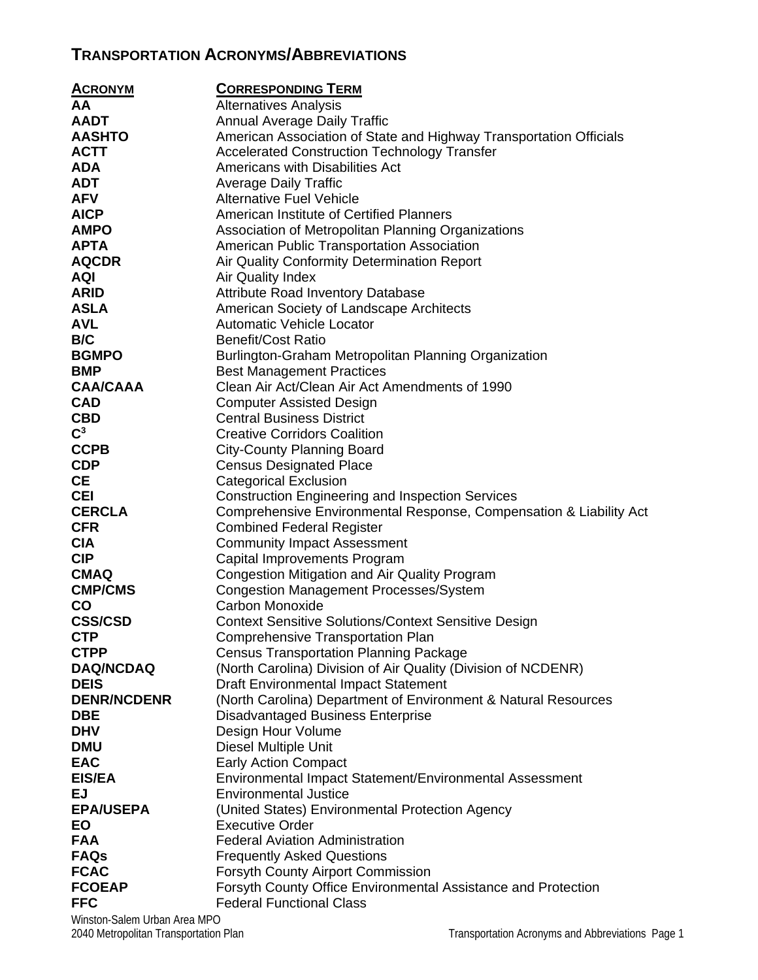## **TRANSPORTATION ACRONYMS/ABBREVIATIONS**

| <b>ACRONYM</b>     | <b>CORRESPONDING TERM</b>                                            |
|--------------------|----------------------------------------------------------------------|
| AA                 | <b>Alternatives Analysis</b>                                         |
| <b>AADT</b>        | <b>Annual Average Daily Traffic</b>                                  |
| <b>AASHTO</b>      | American Association of State and Highway Transportation Officials   |
| <b>ACTT</b>        | <b>Accelerated Construction Technology Transfer</b>                  |
| <b>ADA</b>         | Americans with Disabilities Act                                      |
| <b>ADT</b>         | <b>Average Daily Traffic</b>                                         |
| <b>AFV</b>         | <b>Alternative Fuel Vehicle</b>                                      |
| <b>AICP</b>        | American Institute of Certified Planners                             |
| <b>AMPO</b>        | Association of Metropolitan Planning Organizations                   |
| <b>APTA</b>        | American Public Transportation Association                           |
| <b>AQCDR</b>       | Air Quality Conformity Determination Report                          |
| <b>AQI</b>         | <b>Air Quality Index</b>                                             |
| <b>ARID</b>        | <b>Attribute Road Inventory Database</b>                             |
| <b>ASLA</b>        | American Society of Landscape Architects                             |
| <b>AVL</b>         | <b>Automatic Vehicle Locator</b>                                     |
| B/C                | <b>Benefit/Cost Ratio</b>                                            |
| <b>BGMPO</b>       | Burlington-Graham Metropolitan Planning Organization                 |
| <b>BMP</b>         | <b>Best Management Practices</b>                                     |
| <b>CAA/CAAA</b>    | Clean Air Act/Clean Air Act Amendments of 1990                       |
| <b>CAD</b>         | <b>Computer Assisted Design</b>                                      |
| <b>CBD</b>         | <b>Central Business District</b>                                     |
| $\mathbf{C}^3$     | <b>Creative Corridors Coalition</b>                                  |
| <b>CCPB</b>        | <b>City-County Planning Board</b>                                    |
| <b>CDP</b>         | <b>Census Designated Place</b>                                       |
| <b>CE</b>          | <b>Categorical Exclusion</b>                                         |
| <b>CEI</b>         | <b>Construction Engineering and Inspection Services</b>              |
| <b>CERCLA</b>      | Comprehensive Environmental Response, Compensation & Liability Act   |
| <b>CFR</b>         | <b>Combined Federal Register</b>                                     |
| <b>CIA</b>         | <b>Community Impact Assessment</b>                                   |
| <b>CIP</b>         | Capital Improvements Program                                         |
| <b>CMAQ</b>        | <b>Congestion Mitigation and Air Quality Program</b>                 |
| <b>CMP/CMS</b>     | <b>Congestion Management Processes/System</b>                        |
| <b>CO</b>          | Carbon Monoxide                                                      |
| <b>CSS/CSD</b>     | <b>Context Sensitive Solutions/Context Sensitive Design</b>          |
| <b>CTP</b>         | <b>Comprehensive Transportation Plan</b>                             |
| <b>CTPP</b>        | <b>Census Transportation Planning Package</b>                        |
| <b>DAQ/NCDAQ</b>   | (North Carolina) Division of Air Quality (Division of NCDENR)        |
| <b>DEIS</b>        | <b>Draft Environmental Impact Statement</b>                          |
| <b>DENR/NCDENR</b> | (North Carolina) Department of Environment & Natural Resources       |
| <b>DBE</b>         | <b>Disadvantaged Business Enterprise</b>                             |
| <b>DHV</b>         | Design Hour Volume                                                   |
| <b>DMU</b>         | <b>Diesel Multiple Unit</b>                                          |
| <b>EAC</b>         | <b>Early Action Compact</b>                                          |
| <b>EIS/EA</b>      | Environmental Impact Statement/Environmental Assessment              |
| <b>EJ</b>          | <b>Environmental Justice</b>                                         |
| <b>EPA/USEPA</b>   | (United States) Environmental Protection Agency                      |
| EO                 | <b>Executive Order</b>                                               |
| <b>FAA</b>         | <b>Federal Aviation Administration</b>                               |
| <b>FAQs</b>        | <b>Frequently Asked Questions</b>                                    |
| <b>FCAC</b>        | <b>Forsyth County Airport Commission</b>                             |
| <b>FCOEAP</b>      | <b>Forsyth County Office Environmental Assistance and Protection</b> |
| <b>FFC</b>         | <b>Federal Functional Class</b>                                      |

Winston-Salem Urban Area MPO<br>2040 Metropolitan Transportation Plan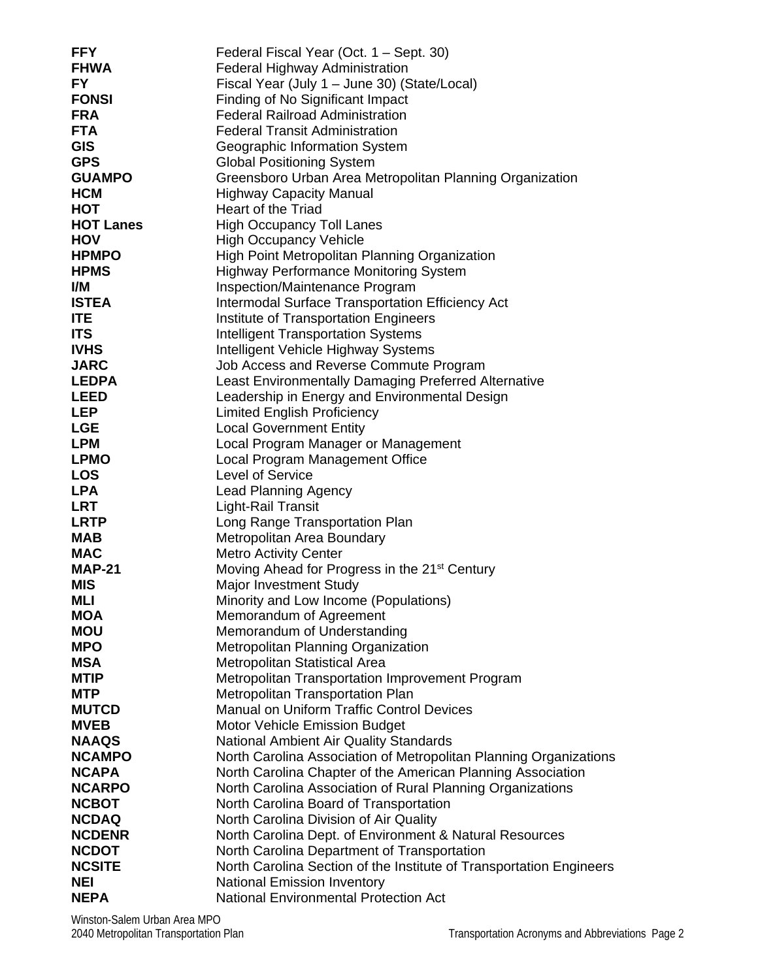| <b>FFY</b>       | Federal Fiscal Year (Oct. 1 – Sept. 30)                             |
|------------------|---------------------------------------------------------------------|
| <b>FHWA</b>      | <b>Federal Highway Administration</b>                               |
| FY.              | Fiscal Year (July 1 - June 30) (State/Local)                        |
| <b>FONSI</b>     | Finding of No Significant Impact                                    |
| <b>FRA</b>       | <b>Federal Railroad Administration</b>                              |
| <b>FTA</b>       | <b>Federal Transit Administration</b>                               |
| <b>GIS</b>       | Geographic Information System                                       |
| <b>GPS</b>       | <b>Global Positioning System</b>                                    |
| <b>GUAMPO</b>    | Greensboro Urban Area Metropolitan Planning Organization            |
| <b>HCM</b>       | <b>Highway Capacity Manual</b>                                      |
| HOT              | Heart of the Triad                                                  |
| <b>HOT Lanes</b> | <b>High Occupancy Toll Lanes</b>                                    |
| <b>HOV</b>       | <b>High Occupancy Vehicle</b>                                       |
| <b>HPMPO</b>     | High Point Metropolitan Planning Organization                       |
| <b>HPMS</b>      | <b>Highway Performance Monitoring System</b>                        |
| I/M              | Inspection/Maintenance Program                                      |
| <b>ISTEA</b>     | Intermodal Surface Transportation Efficiency Act                    |
| <b>ITE</b>       | Institute of Transportation Engineers                               |
| <b>ITS</b>       | <b>Intelligent Transportation Systems</b>                           |
| <b>IVHS</b>      | Intelligent Vehicle Highway Systems                                 |
| <b>JARC</b>      | Job Access and Reverse Commute Program                              |
| <b>LEDPA</b>     | Least Environmentally Damaging Preferred Alternative                |
| <b>LEED</b>      | Leadership in Energy and Environmental Design                       |
| <b>LEP</b>       | <b>Limited English Proficiency</b>                                  |
| <b>LGE</b>       | <b>Local Government Entity</b>                                      |
| <b>LPM</b>       | Local Program Manager or Management                                 |
| <b>LPMO</b>      | Local Program Management Office                                     |
| <b>LOS</b>       | Level of Service                                                    |
| <b>LPA</b>       | <b>Lead Planning Agency</b>                                         |
| <b>LRT</b>       | Light-Rail Transit                                                  |
| <b>LRTP</b>      | Long Range Transportation Plan                                      |
| <b>MAB</b>       | Metropolitan Area Boundary                                          |
| <b>MAC</b>       | <b>Metro Activity Center</b>                                        |
| <b>MAP-21</b>    | Moving Ahead for Progress in the 21 <sup>st</sup> Century           |
| <b>MIS</b>       | Major Investment Study                                              |
| MLI              | Minority and Low Income (Populations)                               |
| <b>MOA</b>       | Memorandum of Agreement                                             |
| <b>MOU</b>       | Memorandum of Understanding                                         |
| <b>MPO</b>       | Metropolitan Planning Organization                                  |
| <b>MSA</b>       | Metropolitan Statistical Area                                       |
| <b>MTIP</b>      | Metropolitan Transportation Improvement Program                     |
| <b>MTP</b>       | Metropolitan Transportation Plan                                    |
| <b>MUTCD</b>     | <b>Manual on Uniform Traffic Control Devices</b>                    |
| <b>MVEB</b>      | Motor Vehicle Emission Budget                                       |
| <b>NAAQS</b>     | National Ambient Air Quality Standards                              |
| <b>NCAMPO</b>    | North Carolina Association of Metropolitan Planning Organizations   |
| <b>NCAPA</b>     | North Carolina Chapter of the American Planning Association         |
| <b>NCARPO</b>    | North Carolina Association of Rural Planning Organizations          |
| <b>NCBOT</b>     | North Carolina Board of Transportation                              |
| <b>NCDAQ</b>     | North Carolina Division of Air Quality                              |
| <b>NCDENR</b>    | North Carolina Dept. of Environment & Natural Resources             |
| <b>NCDOT</b>     | North Carolina Department of Transportation                         |
| <b>NCSITE</b>    | North Carolina Section of the Institute of Transportation Engineers |
| NEI              | <b>National Emission Inventory</b>                                  |
| <b>NEPA</b>      | <b>National Environmental Protection Act</b>                        |
|                  |                                                                     |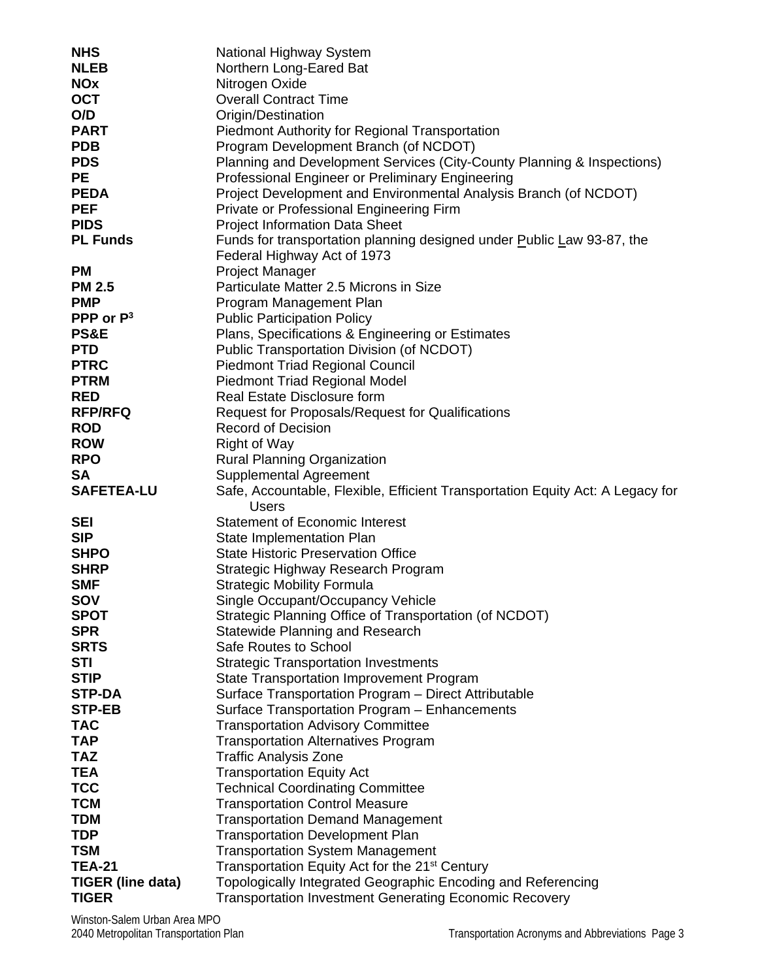| <b>NHS</b>                                | National Highway System                                                                                                    |
|-------------------------------------------|----------------------------------------------------------------------------------------------------------------------------|
| <b>NLEB</b>                               | Northern Long-Eared Bat                                                                                                    |
| <b>NOx</b>                                | Nitrogen Oxide                                                                                                             |
| <b>OCT</b>                                | <b>Overall Contract Time</b>                                                                                               |
| O/D                                       | Origin/Destination                                                                                                         |
| <b>PART</b>                               | <b>Piedmont Authority for Regional Transportation</b>                                                                      |
| <b>PDB</b>                                | Program Development Branch (of NCDOT)                                                                                      |
| <b>PDS</b>                                | Planning and Development Services (City-County Planning & Inspections)                                                     |
| <b>PE</b>                                 | Professional Engineer or Preliminary Engineering                                                                           |
| <b>PEDA</b>                               | Project Development and Environmental Analysis Branch (of NCDOT)                                                           |
| <b>PEF</b>                                | Private or Professional Engineering Firm                                                                                   |
| <b>PIDS</b>                               | <b>Project Information Data Sheet</b>                                                                                      |
| <b>PL Funds</b>                           | Funds for transportation planning designed under Public Law 93-87, the                                                     |
|                                           | Federal Highway Act of 1973                                                                                                |
| <b>PM</b>                                 | <b>Project Manager</b>                                                                                                     |
| <b>PM 2.5</b>                             | Particulate Matter 2.5 Microns in Size                                                                                     |
| <b>PMP</b>                                | Program Management Plan                                                                                                    |
| PPP or $P^3$                              | <b>Public Participation Policy</b>                                                                                         |
| <b>PS&amp;E</b>                           | Plans, Specifications & Engineering or Estimates                                                                           |
| <b>PTD</b>                                | Public Transportation Division (of NCDOT)                                                                                  |
| <b>PTRC</b>                               | <b>Piedmont Triad Regional Council</b>                                                                                     |
| <b>PTRM</b>                               | <b>Piedmont Triad Regional Model</b>                                                                                       |
| <b>RED</b>                                | Real Estate Disclosure form                                                                                                |
| <b>RFP/RFQ</b>                            | <b>Request for Proposals/Request for Qualifications</b>                                                                    |
| <b>ROD</b>                                | <b>Record of Decision</b>                                                                                                  |
| <b>ROW</b>                                | <b>Right of Way</b>                                                                                                        |
| <b>RPO</b>                                | <b>Rural Planning Organization</b>                                                                                         |
| <b>SA</b>                                 | Supplemental Agreement                                                                                                     |
|                                           |                                                                                                                            |
| <b>SAFETEA-LU</b>                         | Safe, Accountable, Flexible, Efficient Transportation Equity Act: A Legacy for<br><b>Users</b>                             |
| <b>SEI</b>                                | <b>Statement of Economic Interest</b>                                                                                      |
| <b>SIP</b>                                | State Implementation Plan                                                                                                  |
| <b>SHPO</b>                               | <b>State Historic Preservation Office</b>                                                                                  |
| <b>SHRP</b>                               | Strategic Highway Research Program                                                                                         |
| <b>SMF</b>                                | <b>Strategic Mobility Formula</b>                                                                                          |
| SOV                                       | Single Occupant/Occupancy Vehicle                                                                                          |
| <b>SPOT</b>                               | Strategic Planning Office of Transportation (of NCDOT)                                                                     |
| <b>SPR</b>                                | <b>Statewide Planning and Research</b>                                                                                     |
| <b>SRTS</b>                               | Safe Routes to School                                                                                                      |
| <b>STI</b>                                | <b>Strategic Transportation Investments</b>                                                                                |
| <b>STIP</b>                               | <b>State Transportation Improvement Program</b>                                                                            |
| <b>STP-DA</b>                             | Surface Transportation Program - Direct Attributable                                                                       |
| <b>STP-EB</b>                             | Surface Transportation Program - Enhancements                                                                              |
| <b>TAC</b>                                | <b>Transportation Advisory Committee</b>                                                                                   |
| <b>TAP</b>                                | <b>Transportation Alternatives Program</b>                                                                                 |
| <b>TAZ</b>                                | <b>Traffic Analysis Zone</b>                                                                                               |
| <b>TEA</b>                                | <b>Transportation Equity Act</b>                                                                                           |
| <b>TCC</b>                                | <b>Technical Coordinating Committee</b>                                                                                    |
| <b>TCM</b>                                | <b>Transportation Control Measure</b>                                                                                      |
| <b>TDM</b>                                | <b>Transportation Demand Management</b>                                                                                    |
| <b>TDP</b>                                | <b>Transportation Development Plan</b>                                                                                     |
| <b>TSM</b>                                | <b>Transportation System Management</b>                                                                                    |
| <b>TEA-21</b><br><b>TIGER (line data)</b> | Transportation Equity Act for the 21 <sup>st</sup> Century<br>Topologically Integrated Geographic Encoding and Referencing |